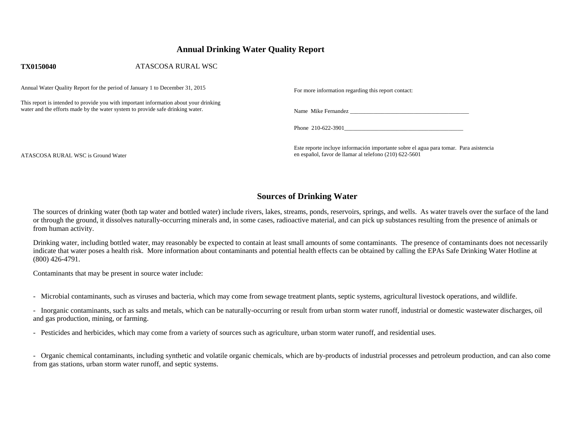## **Annual Drinking Water Quality Report**

| <b>TX0150040</b>                                                                                                                                                        | ATASCOSA RURAL WSC |                                                     |
|-------------------------------------------------------------------------------------------------------------------------------------------------------------------------|--------------------|-----------------------------------------------------|
| Annual Water Quality Report for the period of January 1 to December 31, 2015                                                                                            |                    | For more information regarding this report contact: |
| This report is intended to provide you with important information about your drinking<br>water and the efforts made by the water system to provide safe drinking water. |                    | Name Mike Fernandez                                 |
|                                                                                                                                                                         |                    | Phone 210-622-3901                                  |

Este reporte incluye información importante sobre el agua para tomar. Para asistencia en español, favor de llamar al telefono (210) 622-5601

ATASCOSA RURAL WSC is Ground Water

# **Sources of Drinking Water**

The sources of drinking water (both tap water and bottled water) include rivers, lakes, streams, ponds, reservoirs, springs, and wells. As water travels over the surface of the land or through the ground, it dissolves naturally-occurring minerals and, in some cases, radioactive material, and can pick up substances resulting from the presence of animals or from human activity.

Drinking water, including bottled water, may reasonably be expected to contain at least small amounts of some contaminants. The presence of contaminants does not necessarily indicate that water poses a health risk. More information about contaminants and potential health effects can be obtained by calling the EPAs Safe Drinking Water Hotline at (800) 426-4791.

Contaminants that may be present in source water include:

- Microbial contaminants, such as viruses and bacteria, which may come from sewage treatment plants, septic systems, agricultural livestock operations, and wildlife.

- Inorganic contaminants, such as salts and metals, which can be naturally-occurring or result from urban storm water runoff, industrial or domestic wastewater discharges, oil and gas production, mining, or farming.

- Pesticides and herbicides, which may come from a variety of sources such as agriculture, urban storm water runoff, and residential uses.

- Organic chemical contaminants, including synthetic and volatile organic chemicals, which are by-products of industrial processes and petroleum production, and can also come from gas stations, urban storm water runoff, and septic systems.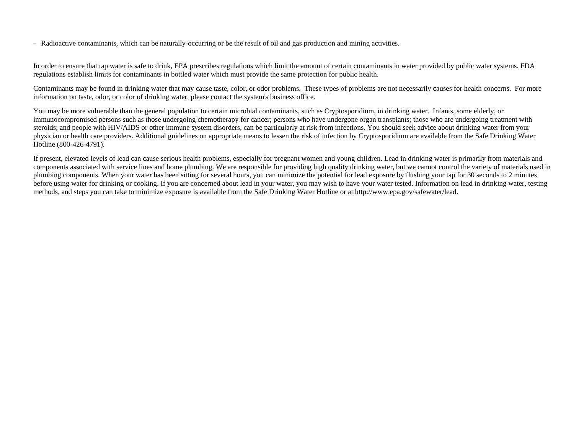- Radioactive contaminants, which can be naturally-occurring or be the result of oil and gas production and mining activities.

In order to ensure that tap water is safe to drink, EPA prescribes regulations which limit the amount of certain contaminants in water provided by public water systems. FDA regulations establish limits for contaminants in bottled water which must provide the same protection for public health.

Contaminants may be found in drinking water that may cause taste, color, or odor problems. These types of problems are not necessarily causes for health concerns. For more information on taste, odor, or color of drinking water, please contact the system's business office.

You may be more vulnerable than the general population to certain microbial contaminants, such as Cryptosporidium, in drinking water. Infants, some elderly, or immunocompromised persons such as those undergoing chemotherapy for cancer; persons who have undergone organ transplants; those who are undergoing treatment with steroids; and people with HIV/AIDS or other immune system disorders, can be particularly at risk from infections. You should seek advice about drinking water from your physician or health care providers. Additional guidelines on appropriate means to lessen the risk of infection by Cryptosporidium are available from the Safe Drinking Water Hotline (800-426-4791).

If present, elevated levels of lead can cause serious health problems, especially for pregnant women and young children. Lead in drinking water is primarily from materials and components associated with service lines and home plumbing. We are responsible for providing high quality drinking water, but we cannot control the variety of materials used in plumbing components. When your water has been sitting for several hours, you can minimize the potential for lead exposure by flushing your tap for 30 seconds to 2 minutes before using water for drinking or cooking. If you are concerned about lead in your water, you may wish to have your water tested. Information on lead in drinking water, testing methods, and steps you can take to minimize exposure is available from the Safe Drinking Water Hotline or at http://www.epa.gov/safewater/lead.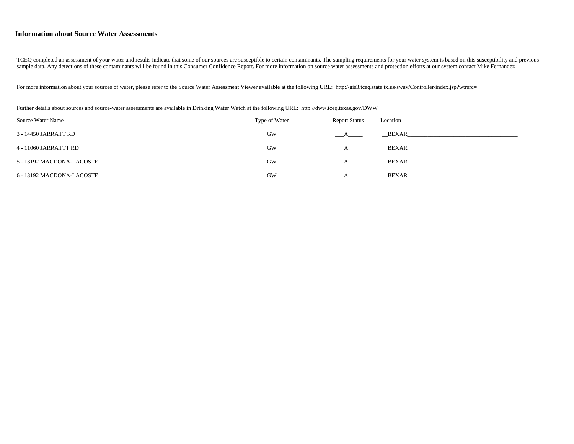#### **Information about Source Water Assessments**

TCEQ completed an assessment of your water and results indicate that some of our sources are susceptible to certain contaminants. The sampling requirements for your water system is based on this susceptibility and previous sample data. Any detections of these contaminants will be found in this Consumer Confidence Report. For more information on source water assessments and protection efforts at our system contact Mike Fernandez

For more information about your sources of water, please refer to the Source Water Assessment Viewer available at the following URL: http://gis3.tceq.state.tx.us/swav/Controller/index.jsp?wtrsrc=

Further details about sources and source-water assessments are available in Drinking Water Watch at the following URL: http://dww.tceq.texas.gov/DWW

| Source Water Name         | Type of Water | <b>Report Status</b> | Location     |
|---------------------------|---------------|----------------------|--------------|
| 3 - 14450 JARRATT RD      | GW            |                      | BEXAR        |
| 4 - 11060 JARRATTT RD     | GW            |                      | BEXAR        |
| 5 - 13192 MACDONA-LACOSTE | <b>GW</b>     |                      | BEXAR        |
| 6 - 13192 MACDONA-LACOSTE | GW            |                      | <b>BEXAR</b> |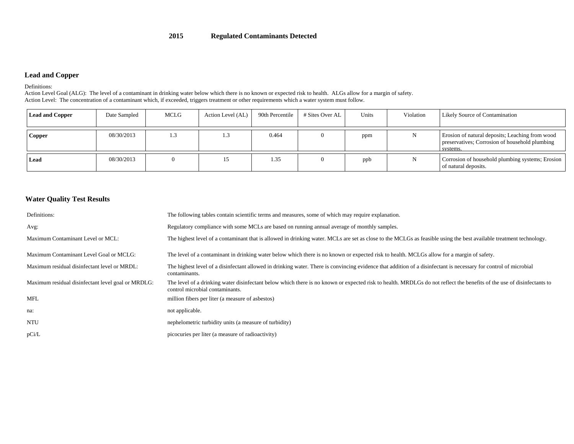#### **2015Regulated Contaminants Detected**

### **Lead and Copper**

Definitions:

 Action Level Goal (ALG): The level of a contaminant in drinking water below which there is no known or expected risk to health. ALGs allow for a margin of safety. Action Level: The concentration of a contaminant which, if exceeded, triggers treatment or other requirements which a water system must follow.

| <b>Lead and Copper</b> | Date Sampled | MCLG | Action Level (AL) | 90th Percentile | # Sites Over AL | Units | Violation | <b>Likely Source of Contamination</b>                                                                         |
|------------------------|--------------|------|-------------------|-----------------|-----------------|-------|-----------|---------------------------------------------------------------------------------------------------------------|
| <b>Copper</b>          | 08/30/2013   | 1.:  | ر. 1              | 0.464           |                 | ppm   |           | Erosion of natural deposits; Leaching from wood<br>preservatives; Corrosion of household plumbing<br>systems. |
| Lead                   | 08/30/2013   |      |                   | 1.35            |                 | ppb   |           | Corrosion of household plumbing systems; Erosion<br>of natural deposits.                                      |

#### **Water Quality Test Results**

| Definitions:                                       | The following tables contain scientific terms and measures, some of which may require explanation.                                                                                                        |
|----------------------------------------------------|-----------------------------------------------------------------------------------------------------------------------------------------------------------------------------------------------------------|
| Avg:                                               | Regulatory compliance with some MCLs are based on running annual average of monthly samples.                                                                                                              |
| Maximum Contaminant Level or MCL:                  | The highest level of a contaminant that is allowed in drinking water. MCLs are set as close to the MCLGs as feasible using the best available treatment technology.                                       |
| Maximum Contaminant Level Goal or MCLG:            | The level of a contaminant in drinking water below which there is no known or expected risk to health. MCLGs allow for a margin of safety.                                                                |
| Maximum residual disinfectant level or MRDL:       | The highest level of a disinfectant allowed in drinking water. There is convincing evidence that addition of a disinfectant is necessary for control of microbial<br>contaminants.                        |
| Maximum residual disinfectant level goal or MRDLG: | The level of a drinking water disinfectant below which there is no known or expected risk to health. MRDLGs do not reflect the benefits of the use of disinfectants to<br>control microbial contaminants. |
| MFL                                                | million fibers per liter (a measure of asbestos)                                                                                                                                                          |
| na:                                                | not applicable.                                                                                                                                                                                           |
| <b>NTU</b>                                         | nephelometric turbidity units (a measure of turbidity)                                                                                                                                                    |
| pCi/L                                              | picocuries per liter (a measure of radioactivity)                                                                                                                                                         |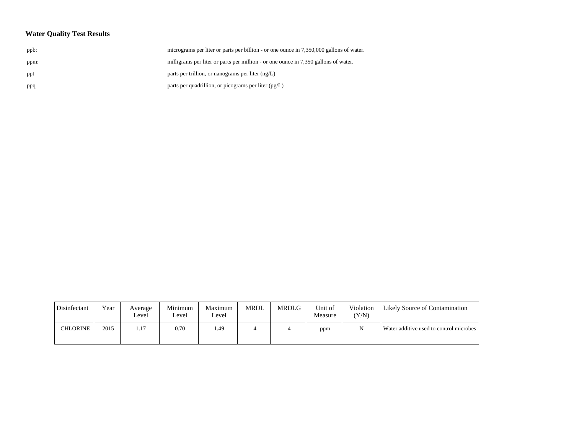# **Water Quality Test Results**

| ppb: | micrograms per liter or parts per billion - or one ounce in 7,350,000 gallons of water |
|------|----------------------------------------------------------------------------------------|
| ppm: | milligrams per liter or parts per million - or one ounce in 7,350 gallons of water.    |
| ppt  | parts per trillion, or nanograms per liter $(ng/L)$                                    |
| ppq  | parts per quadrillion, or picograms per liter (pg/L)                                   |
|      |                                                                                        |

| Disinfectant | Year | Average<br>Level | Minimum<br>Level | Maximum<br>Level | <b>MRDL</b> | MRDLG | Unit of<br>Measure | Violation<br>(Y/N) | Likely Source of Contamination          |
|--------------|------|------------------|------------------|------------------|-------------|-------|--------------------|--------------------|-----------------------------------------|
| CHLORINE     | 2015 | 1.17             | 0.70             | . 49             |             |       | ppm                | N                  | Water additive used to control microbes |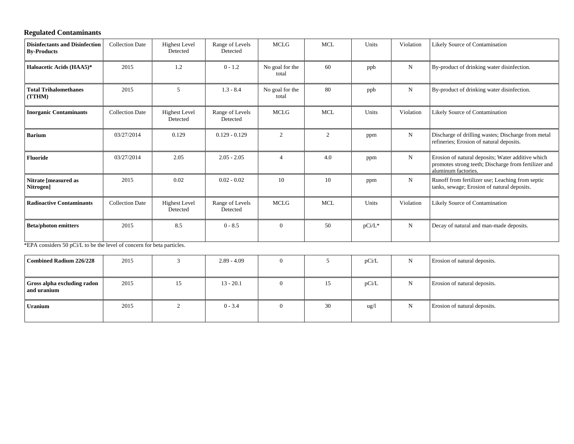# **Regulated Contaminants**

| <b>Disinfectants and Disinfection</b><br><b>By-Products</b> | <b>Collection Date</b> | <b>Highest Level</b><br>Detected | Range of Levels<br>Detected | <b>MCLG</b>              | <b>MCL</b> | Units     | Violation   | Likely Source of Contamination                                                                                                   |
|-------------------------------------------------------------|------------------------|----------------------------------|-----------------------------|--------------------------|------------|-----------|-------------|----------------------------------------------------------------------------------------------------------------------------------|
| Haloacetic Acids (HAA5)*                                    | 2015                   | 1.2                              | $0 - 1.2$                   | No goal for the<br>total | 60         | ppb       | N           | By-product of drinking water disinfection.                                                                                       |
| <b>Total Trihalomethanes</b><br>(TTHM)                      | 2015                   | 5                                | $1.3 - 8.4$                 | No goal for the<br>total | 80         | ppb       | N           | By-product of drinking water disinfection.                                                                                       |
| <b>Inorganic Contaminants</b>                               | <b>Collection Date</b> | <b>Highest Level</b><br>Detected | Range of Levels<br>Detected | <b>MCLG</b>              | <b>MCL</b> | Units     | Violation   | Likely Source of Contamination                                                                                                   |
| <b>Barium</b>                                               | 03/27/2014             | 0.129                            | $0.129 - 0.129$             | $\mathfrak{D}$           | 2          | ppm       | $\mathbf N$ | Discharge of drilling wastes; Discharge from metal<br>refineries; Erosion of natural deposits.                                   |
| <b>Fluoride</b>                                             | 03/27/2014             | 2.05                             | $2.05 - 2.05$               | 4                        | 4.0        | ppm       | N           | Erosion of natural deposits; Water additive which<br>promotes strong teeth; Discharge from fertilizer and<br>aluminum factories. |
| Nitrate [measured as<br>Nitrogen]                           | 2015                   | 0.02                             | $0.02 - 0.02$               | 10                       | 10         | ppm       | N           | Runoff from fertilizer use; Leaching from septic<br>tanks, sewage; Erosion of natural deposits.                                  |
| <b>Radioactive Contaminants</b>                             | <b>Collection Date</b> | <b>Highest Level</b><br>Detected | Range of Levels<br>Detected | <b>MCLG</b>              | <b>MCL</b> | Units     | Violation   | Likely Source of Contamination                                                                                                   |
| <b>Beta/photon emitters</b>                                 | 2015                   | 8.5                              | $0 - 8.5$                   | $\Omega$                 | 50         | $pCi/L^*$ | N           | Decay of natural and man-made deposits.                                                                                          |

\*EPA considers 50 pCi/L to be the level of concern for beta particles.

| Combined Radium 226/228                           | 2015 |    | $2.89 - 4.09$ |   |    | pCi/L           | N | Erosion of natural deposits. |
|---------------------------------------------------|------|----|---------------|---|----|-----------------|---|------------------------------|
| <b>Gross alpha excluding radon</b><br>and uranium | 2015 | 15 | $13 - 20.1$   | 0 | 15 | pCi/L           | N | Erosion of natural deposits. |
| Uranium                                           | 2015 |    | $0 - 3.4$     |   | 30 | $\frac{u g}{l}$ |   | Erosion of natural deposits. |